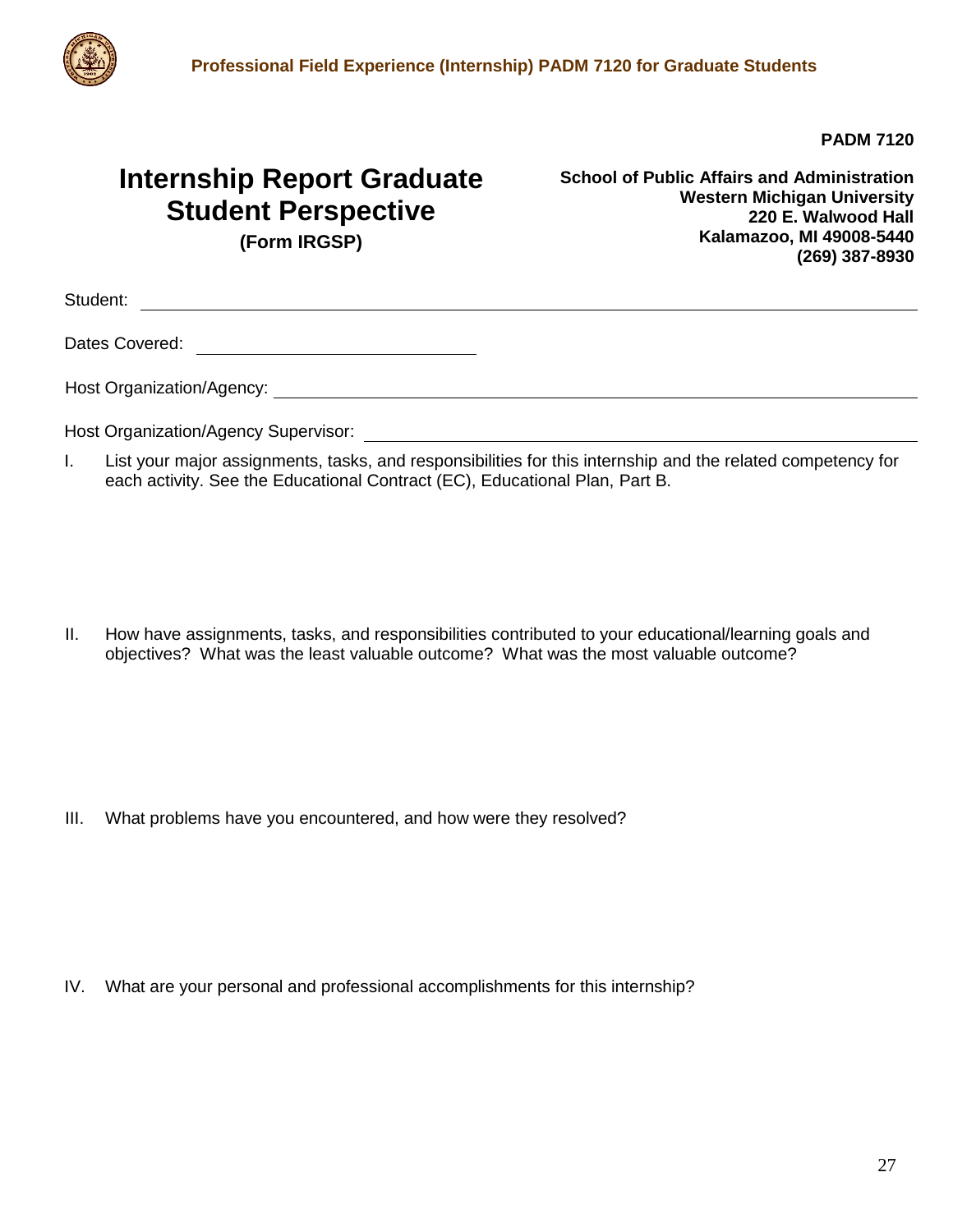

**PADM 7120**

## **Internship Report Graduate Student Perspective**

**School of Public Affairs and Administration Western Michigan University 220 E. Walwood Hall Kalamazoo, MI 49008-5440 (269) 387-8930**

**(Form IRGSP)**

Student:

Dates Covered:

Host Organization/Agency:

Host Organization/Agency Supervisor:

I. List your major assignments, tasks, and responsibilities for this internship and the related competency for each activity. See the Educational Contract (EC), Educational Plan, Part B.

II. How have assignments, tasks, and responsibilities contributed to your educational/learning goals and objectives? What was the least valuable outcome? What was the most valuable outcome?

III. What problems have you encountered, and how were they resolved?

IV. What are your personal and professional accomplishments for this internship?